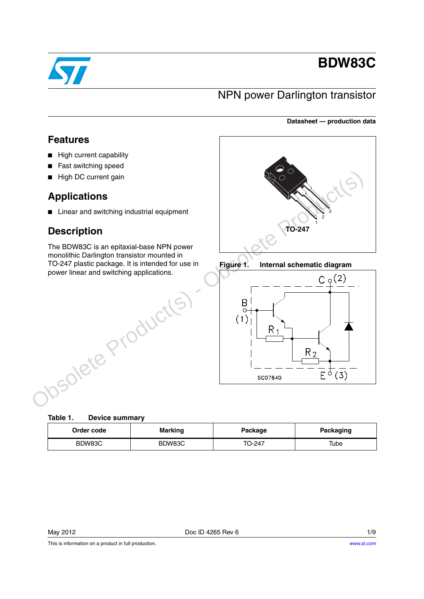

# **BDW83C**

## NPN power Darlington transistor

#### **Datasheet — production data**

## **Features**

- High current capability
- Fast switching speed
- High DC current gain

## **Applications**

■ Linear and switching industrial equipment

## **Description**

The BDW83C is an epitaxial-base NPN power monolithic Darlington transistor mounted in TO-247 plastic package. It is intended for use in power linear and switching applications.







| Table 1. | <b>Device summary</b> |
|----------|-----------------------|
|          |                       |

| Order code | <b>Marking</b> | Package | <b>Packaging</b> |  |
|------------|----------------|---------|------------------|--|
| BDW83C     | BDW83C         | TO-247  | Tube             |  |

This is information on a product in full production.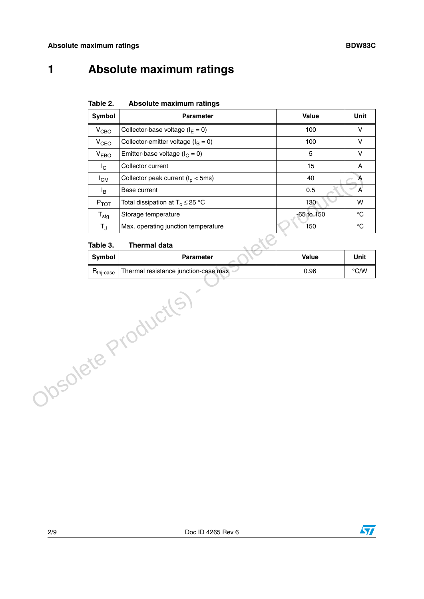# **1 Absolute maximum ratings**

| Table 2. | Absolute maximum ratings |  |
|----------|--------------------------|--|
|          |                          |  |

|                     | Symbol                | Parameter                               | Value      | Unit                      |
|---------------------|-----------------------|-----------------------------------------|------------|---------------------------|
|                     | V <sub>CBO</sub>      | Collector-base voltage ( $I_E = 0$ )    | 100        | $\mathsf{V}$              |
|                     | V <sub>CEO</sub>      | Collector-emitter voltage ( $I_B = 0$ ) | 100        | $\mathsf{V}$              |
|                     | V <sub>EBO</sub>      | Emitter-base voltage ( $I_C = 0$ )      | 5          | $\vee$                    |
|                     | $I_{\rm C}$           | Collector current                       | 15         | $\boldsymbol{\mathsf{A}}$ |
|                     | $I_{CM}$              | Collector peak current $(t_p < 5ms)$    | 40         | $\mathsf{A}$              |
|                     | l <sub>B</sub>        | Base current                            | 0.5        | $\mathsf{A}$              |
|                     | $P_{TOT}$             | Total dissipation at $T_c \leq 25$ °C   | 130        | W                         |
|                     | $T_{\text{stg}}$      | Storage temperature                     | -65 to 150 | $^{\circ}C$               |
|                     | $T_{\rm J}$           | Max. operating junction temperature     | 150        | $^{\circ}C$               |
|                     | Table 3.              | <b>Thermal data</b>                     |            |                           |
|                     | <b>Symbol</b>         | <b>Parameter</b>                        | Value      | Unit                      |
|                     | $R_{\text{thi-case}}$ | Thermal resistance junction-case max    | 0.96       | $^{\circ}$ C/W            |
| Obsolete Product(s) |                       |                                         |            |                           |

#### **Table 3. Thermal data**

| iupiu v.              |                                      |       |      |
|-----------------------|--------------------------------------|-------|------|
| Svmbol                | <b>Parameter</b>                     | Value | Unit |
| $n_{\text{thi-case}}$ | Thermal resistance junction-case max | 0.96  | °C/W |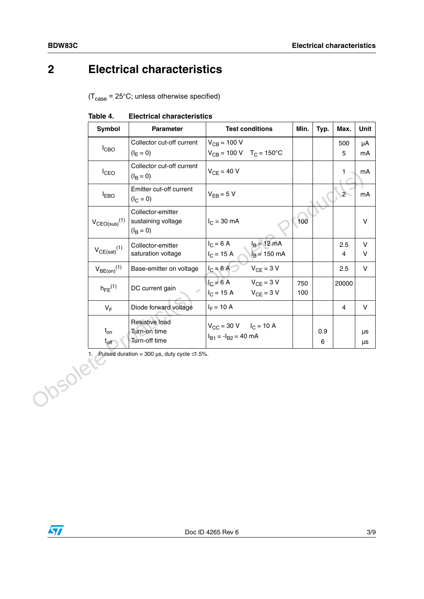# **2 Electrical characteristics**

 $(T_{\text{case}} = 25^{\circ} \text{C}$ ; unless otherwise specified)

|         | Symbol                        | Parameter                                                   | <b>Test conditions</b>                                                                     | Min.       | Typ.         | Max.                           | Unit          |
|---------|-------------------------------|-------------------------------------------------------------|--------------------------------------------------------------------------------------------|------------|--------------|--------------------------------|---------------|
|         | $I_{CBO}$                     | Collector cut-off current                                   | $V_{CB} = 100 V$                                                                           |            |              | 500                            | μA            |
|         |                               | $(I_E = 0)$                                                 | $V_{CB} = 100 \text{ V}$ T <sub>C</sub> = 150°C                                            |            |              | 5                              | mA            |
|         | $I_{CEO}$                     | Collector cut-off current<br>$(I_B = 0)$                    | $V_{CF} = 40 V$                                                                            |            |              | 1.                             | mA            |
|         | <b>LEBO</b>                   | Emitter cut-off current<br>$(I_C = 0)$                      | $V_{EB} = 5 V$                                                                             |            |              | $2 -$                          | mA            |
|         | $V_{CEO(sus)}$ <sup>(1)</sup> | Collector-emitter<br>sustaining voltage<br>$(I_B = 0)$      | $I_C = 30$ mA                                                                              | 100        |              |                                | V             |
|         | $V_{CE(sat)}(1)$              | Collector-emitter<br>saturation voltage                     | $I_B = 12$ mA<br>$I_C = 6 A$<br>$I_B$ = 150 mA<br>$I_C = 15 A$                             |            |              | 2.5<br>$\overline{\mathbf{4}}$ | V<br>V        |
|         | $V_{BE(on)}$ <sup>(1)</sup>   | Base-emitter on voltage                                     | $I_C = 6A$<br>$V_{CE} = 3 V$                                                               |            |              | 2.5                            | $\mathsf{V}$  |
|         | $h_{FE}$ <sup>(1)</sup>       | DC current gain                                             | $I_C = 6 A$<br>$V_{CE} = 3 V$<br>$V_{CE} = 3 V$<br>$I_C = 15 A$                            | 750<br>100 |              | 20000                          |               |
|         | $V_F$                         | Diode forward voltage                                       | $I_F = 10 A$                                                                               |            |              | $\overline{4}$                 | $\mathsf{V}$  |
|         | $t_{on}$<br>$t_{off}$         | Resistive load<br>Turn-on time<br>Turn-off time             | $V_{\text{CC}} = 30 \text{ V}$ $I_{\text{C}} = 10 \text{ A}$<br>$I_{B1} = -I_{B2} = 40$ mA |            | 0.9<br>$\,6$ |                                | μs<br>$\mu s$ |
| Josolet |                               | 1. Pulsed duration = 300 $\mu$ s, duty cycle $\leq 1.5\%$ . |                                                                                            |            |              |                                |               |

#### **Table 4. Electrical characteristics**

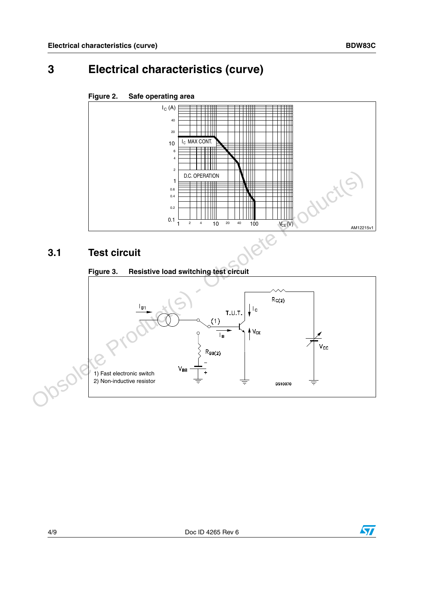# **3 Electrical characteristics (curve)**



#### <span id="page-3-0"></span>**Figure 2. Safe operating area**

### **3.1 Test circuit**

# **Figure 3. Resistive load switching test circuit** 1) Fast electronic switch 2) Non-inductive resistor3.1 Test circuit<br>
Figure 3. Resistive load switching test circuit<br>
Figure 3. Resistive load switching test circuit<br>  $\frac{1}{2}$ <br>
Construction and by the construction of the construction of the construction of the constructi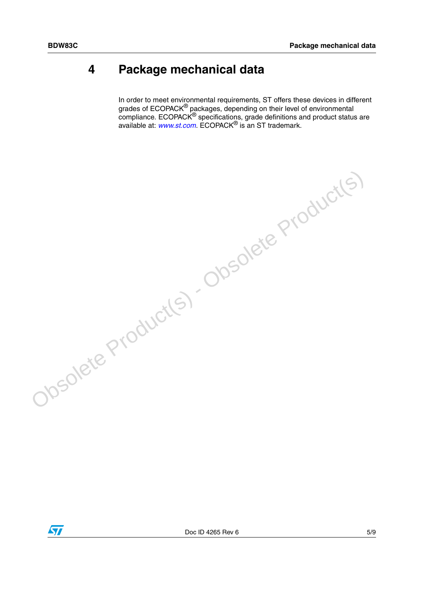## **4 Package mechanical data**

In order to meet environmental requirements, ST offers these devices in different grades of ECOPACK<sup>®</sup> packages, depending on their level of environmental compliance. ECOPACK<sup>®</sup> specifications, grade definitions and product status are available at: *[www.st.com](http://www.st.com)*. ECOPACK® is an ST trademark.



Obsolete Product(s) - Obsolete Product(s)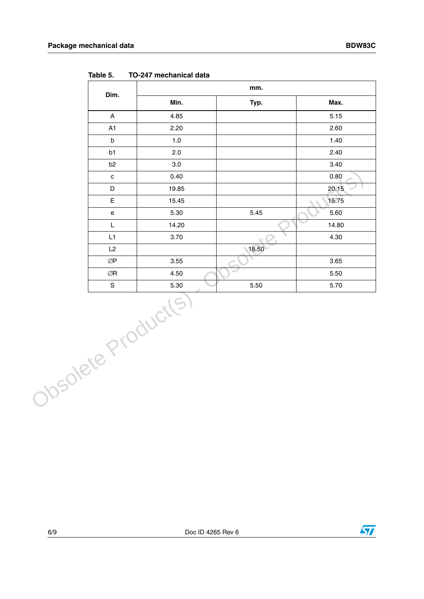|                    | Dim.                                 | mm.   |       |       |  |
|--------------------|--------------------------------------|-------|-------|-------|--|
|                    |                                      |       | Typ.  | Max.  |  |
|                    | $\boldsymbol{\mathsf{A}}$            | 4.85  |       | 5.15  |  |
|                    | A1                                   | 2.20  |       | 2.60  |  |
|                    | $\sf b$                              | 1.0   |       | 1.40  |  |
|                    | b1                                   | 2.0   |       | 2.40  |  |
|                    | b <sub>2</sub>                       | 3.0   |       | 3.40  |  |
|                    | $\mathtt{C}$                         | 0.40  |       | 0.80  |  |
|                    | $\mathsf D$                          | 19.85 |       | 20.15 |  |
|                    | E                                    | 15.45 |       | 15.75 |  |
|                    | e                                    | 5.30  | 5.45  | 5.60  |  |
|                    | L                                    | 14.20 |       | 14.80 |  |
|                    | L1                                   | 3.70  |       | 4.30  |  |
|                    | L2                                   |       | 18.50 |       |  |
|                    | $\oslash\!\operatorname{\mathsf{P}}$ | 3.55  |       | 3.65  |  |
|                    | $\oslash {\sf R}$                    | 4.50  |       | 5.50  |  |
|                    | $\mathsf S$                          | 5.30  | 5.50  | 5.70  |  |
| Obsolete Productes |                                      |       |       |       |  |

**Table 5. TO-247 mechanical data**

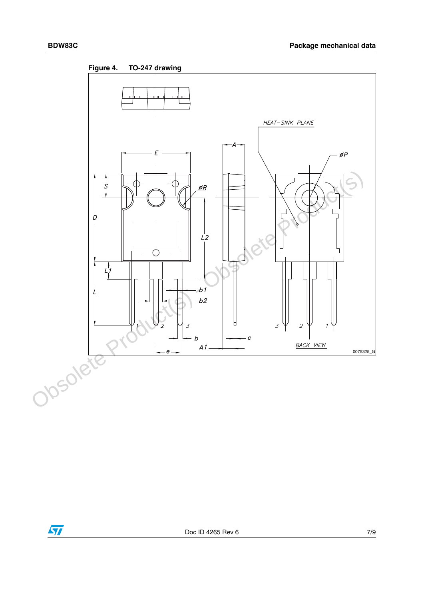

**Figure 4. TO-247 drawing**

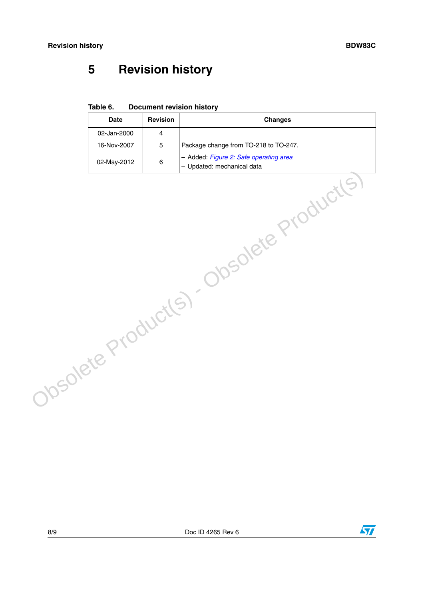# **5 Revision history**

**Table 6. Document revision history**

| <b>Date</b> | <b>Revision</b> | <b>Changes</b>                            |
|-------------|-----------------|-------------------------------------------|
| 02-Jan-2000 | $\overline{4}$  |                                           |
| 16-Nov-2007 | 5               | Package change from TO-218 to TO-247.     |
| 02-May-2012 | 6               | - Added: Figure 2: Safe operating area    |
|             |                 | Obsolete Product(s) - Obsolete Product(s) |